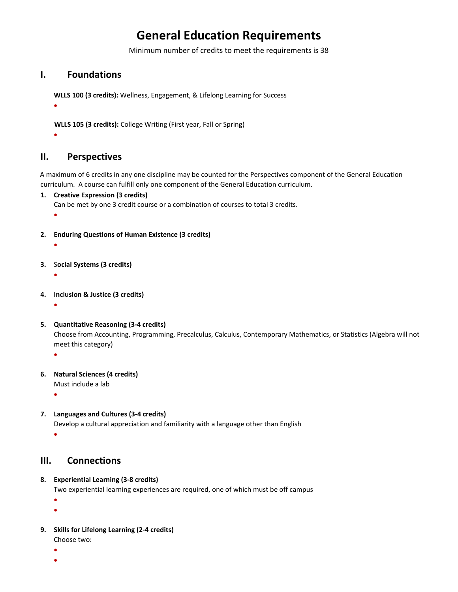# **General Education Requirements**

Minimum number of credits to meet the requirements is 38

## **I. Foundations**

**WLLS 100 (3 credits):** Wellness, Engagement, & Lifelong Learning for Success

**WLLS 105 (3 credits):** College Writing (First year, Fall or Spring)

 $\bullet$ 

 $\bullet$ 

## **II. Perspectives**

A maximum of 6 credits in any one discipline may be counted for the Perspectives component of the General Education curriculum. A course can fulfill only one component of the General Education curriculum.

**1. Creative Expression (3 credits)**

Can be met by one 3 credit course or a combination of courses to total 3 credits.

 $\bullet$ 

- **2. Enduring Questions of Human Existence (3 credits)**
	- $\bullet$
- **3.** S**ocial Systems (3 credits)**
	- $\bullet$
- **4. Inclusion & Justice (3 credits)**
	- $\bullet$
- **5. Quantitative Reasoning (3-4 credits)**

Choose from Accounting, Programming, Precalculus, Calculus, Contemporary Mathematics, or Statistics (Algebra will not meet this category)

 $\bullet$ 

**6. Natural Sciences (4 credits)**

Must include a lab

 $\bullet$ 

**7. Languages and Cultures (3-4 credits)**

Develop a cultural appreciation and familiarity with a language other than English

 $\bullet$ 

# **III. Connections**

**8. Experiential Learning (3-8 credits)**

Two experiential learning experiences are required, one of which must be off campus

 $\bullet$ 

- $\bullet$
- **9. Skills for Lifelong Learning (2-4 credits)**
	- Choose two:
	- $\bullet$
	- $\blacksquare$